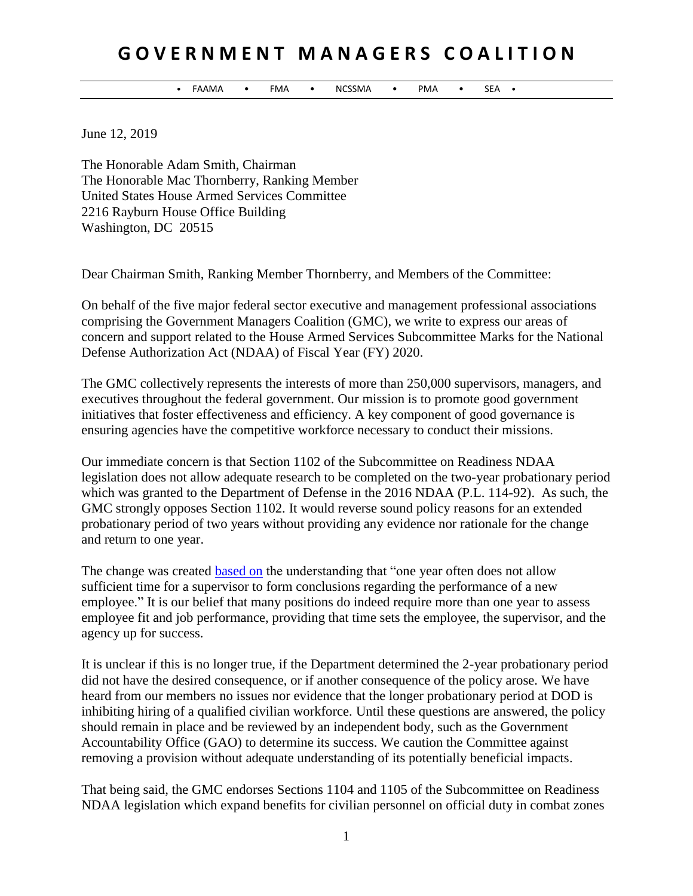## **G O V E R N M E N T M A N A G E R S C O A L I T I O N**

• FAAMA • FMA • NCSSMA • PMA • SEA •

June 12, 2019

The Honorable Adam Smith, Chairman The Honorable Mac Thornberry, Ranking Member United States House Armed Services Committee 2216 Rayburn House Office Building Washington, DC 20515

Dear Chairman Smith, Ranking Member Thornberry, and Members of the Committee:

On behalf of the five major federal sector executive and management professional associations comprising the Government Managers Coalition (GMC), we write to express our areas of concern and support related to the House Armed Services Subcommittee Marks for the National Defense Authorization Act (NDAA) of Fiscal Year (FY) 2020.

The GMC collectively represents the interests of more than 250,000 supervisors, managers, and executives throughout the federal government. Our mission is to promote good government initiatives that foster effectiveness and efficiency. A key component of good governance is ensuring agencies have the competitive workforce necessary to conduct their missions.

Our immediate concern is that Section 1102 of the Subcommittee on Readiness NDAA legislation does not allow adequate research to be completed on the two-year probationary period which was granted to the Department of Defense in the 2016 NDAA (P.L. 114-92). As such, the GMC strongly opposes Section 1102. It would reverse sound policy reasons for an extended probationary period of two years without providing any evidence nor rationale for the change and return to one year.

The change was created [based on](https://dod.defense.gov/News/Article/Article/961606/dod-announces-new-hire-probationary-period/) the understanding that "one year often does not allow sufficient time for a supervisor to form conclusions regarding the performance of a new employee." It is our belief that many positions do indeed require more than one year to assess employee fit and job performance, providing that time sets the employee, the supervisor, and the agency up for success.

It is unclear if this is no longer true, if the Department determined the 2-year probationary period did not have the desired consequence, or if another consequence of the policy arose. We have heard from our members no issues nor evidence that the longer probationary period at DOD is inhibiting hiring of a qualified civilian workforce. Until these questions are answered, the policy should remain in place and be reviewed by an independent body, such as the Government Accountability Office (GAO) to determine its success. We caution the Committee against removing a provision without adequate understanding of its potentially beneficial impacts.

That being said, the GMC endorses Sections 1104 and 1105 of the Subcommittee on Readiness NDAA legislation which expand benefits for civilian personnel on official duty in combat zones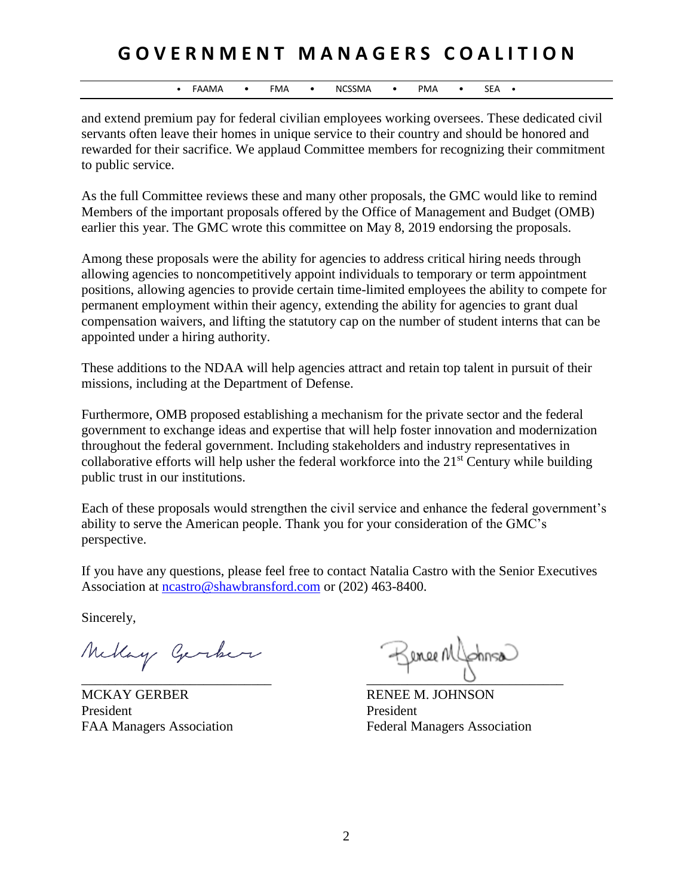## **G O V E R N M E N T M A N A G E R S C O A L I T I O N**

• FAAMA • FMA • NCSSMA • PMA • SEA •

and extend premium pay for federal civilian employees working oversees. These dedicated civil servants often leave their homes in unique service to their country and should be honored and rewarded for their sacrifice. We applaud Committee members for recognizing their commitment to public service.

As the full Committee reviews these and many other proposals, the GMC would like to remind Members of the important proposals offered by the Office of Management and Budget (OMB) earlier this year. The GMC wrote this committee on May 8, 2019 endorsing the proposals.

Among these proposals were the ability for agencies to address critical hiring needs through allowing agencies to noncompetitively appoint individuals to temporary or term appointment positions, allowing agencies to provide certain time-limited employees the ability to compete for permanent employment within their agency, extending the ability for agencies to grant dual compensation waivers, and lifting the statutory cap on the number of student interns that can be appointed under a hiring authority.

These additions to the NDAA will help agencies attract and retain top talent in pursuit of their missions, including at the Department of Defense.

Furthermore, OMB proposed establishing a mechanism for the private sector and the federal government to exchange ideas and expertise that will help foster innovation and modernization throughout the federal government. Including stakeholders and industry representatives in collaborative efforts will help usher the federal workforce into the  $21<sup>st</sup>$  Century while building public trust in our institutions.

Each of these proposals would strengthen the civil service and enhance the federal government's ability to serve the American people. Thank you for your consideration of the GMC's perspective.

If you have any questions, please feel free to contact Natalia Castro with the Senior Executives Association at [ncastro@shawbransford.com](mailto:ncastro@shawbransford.com) or (202) 463-8400.

Sincerely,

Mellay Gerker

MCKAY GERBER RENEE M. JOHNSON President President

Keneenl  $\overline{\phantom{a}}$  ,  $\overline{\phantom{a}}$  ,  $\overline{\phantom{a}}$  ,  $\overline{\phantom{a}}$  ,  $\overline{\phantom{a}}$  ,  $\overline{\phantom{a}}$  ,  $\overline{\phantom{a}}$  ,  $\overline{\phantom{a}}$  ,  $\overline{\phantom{a}}$  ,  $\overline{\phantom{a}}$  ,  $\overline{\phantom{a}}$  ,  $\overline{\phantom{a}}$  ,  $\overline{\phantom{a}}$  ,  $\overline{\phantom{a}}$  ,  $\overline{\phantom{a}}$  ,  $\overline{\phantom{a}}$ 

FAA Managers Association Federal Managers Association